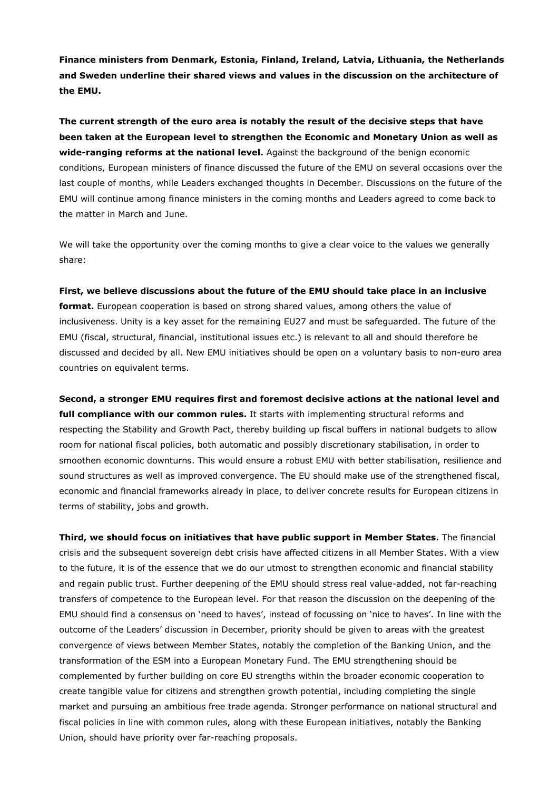**Finance ministers from Denmark, Estonia, Finland, Ireland, Latvia, Lithuania, the Netherlands and Sweden underline their shared views and values in the discussion on the architecture of the EMU.** 

**The current strength of the euro area is notably the result of the decisive steps that have been taken at the European level to strengthen the Economic and Monetary Union as well as wide-ranging reforms at the national level.** Against the background of the benign economic conditions, European ministers of finance discussed the future of the EMU on several occasions over the last couple of months, while Leaders exchanged thoughts in December. Discussions on the future of the EMU will continue among finance ministers in the coming months and Leaders agreed to come back to the matter in March and June.

We will take the opportunity over the coming months to give a clear voice to the values we generally share:

## **First, we believe discussions about the future of the EMU should take place in an inclusive**

**format.** European cooperation is based on strong shared values, among others the value of inclusiveness. Unity is a key asset for the remaining EU27 and must be safeguarded. The future of the EMU (fiscal, structural, financial, institutional issues etc.) is relevant to all and should therefore be discussed and decided by all. New EMU initiatives should be open on a voluntary basis to non-euro area countries on equivalent terms.

**Second, a stronger EMU requires first and foremost decisive actions at the national level and full compliance with our common rules.** It starts with implementing structural reforms and respecting the Stability and Growth Pact, thereby building up fiscal buffers in national budgets to allow room for national fiscal policies, both automatic and possibly discretionary stabilisation, in order to smoothen economic downturns. This would ensure a robust EMU with better stabilisation, resilience and sound structures as well as improved convergence. The EU should make use of the strengthened fiscal, economic and financial frameworks already in place, to deliver concrete results for European citizens in terms of stability, jobs and growth.

**Third, we should focus on initiatives that have public support in Member States.** The financial crisis and the subsequent sovereign debt crisis have affected citizens in all Member States. With a view to the future, it is of the essence that we do our utmost to strengthen economic and financial stability and regain public trust. Further deepening of the EMU should stress real value-added, not far-reaching transfers of competence to the European level. For that reason the discussion on the deepening of the EMU should find a consensus on 'need to haves', instead of focussing on 'nice to haves'. In line with the outcome of the Leaders' discussion in December, priority should be given to areas with the greatest convergence of views between Member States, notably the completion of the Banking Union, and the transformation of the ESM into a European Monetary Fund. The EMU strengthening should be complemented by further building on core EU strengths within the broader economic cooperation to create tangible value for citizens and strengthen growth potential, including completing the single market and pursuing an ambitious free trade agenda. Stronger performance on national structural and fiscal policies in line with common rules, along with these European initiatives, notably the Banking Union, should have priority over far-reaching proposals.